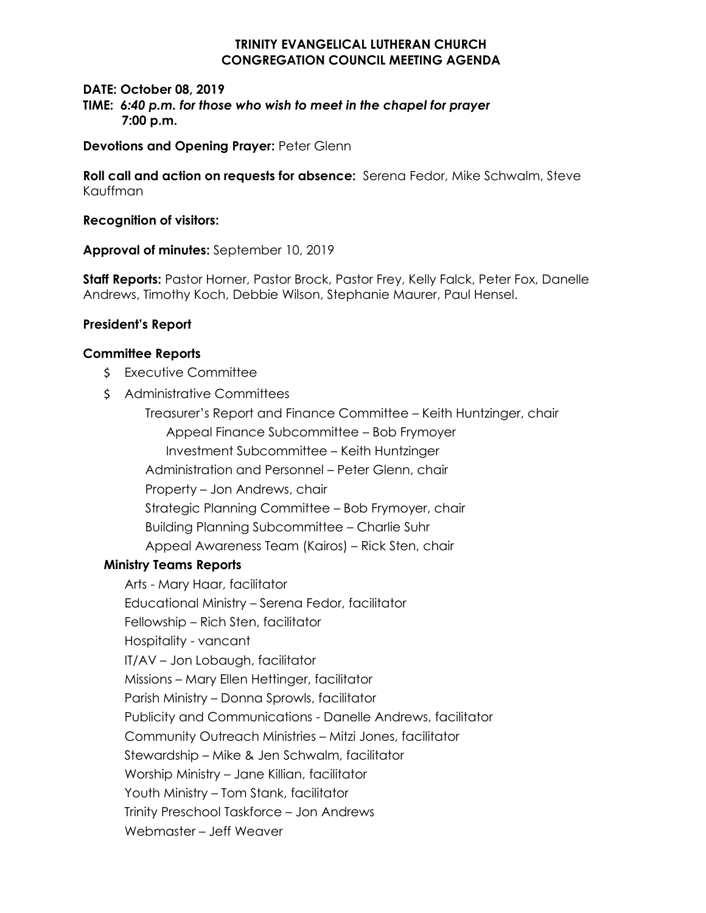## **TRINITY EVANGELICAL LUTHERAN CHURCH CONGREGATION COUNCIL MEETING AGENDA**

### **DATE: October 08, 2019 TIME:** *6:40 p.m. for those who wish to meet in the chapel for prayer* **7:00 p.m.**

**Devotions and Opening Prayer:** Peter Glenn

**Roll call and action on requests for absence:** Serena Fedor, Mike Schwalm, Steve Kauffman

#### **Recognition of visitors:**

**Approval of minutes:** September 10, 2019

**Staff Reports:** Pastor Horner, Pastor Brock, Pastor Frey, Kelly Falck, Peter Fox, Danelle Andrews, Timothy Koch, Debbie Wilson, Stephanie Maurer, Paul Hensel.

### **President's Report**

#### **Committee Reports**

- \$ Executive Committee
- \$ Administrative Committees

Treasurer's Report and Finance Committee – Keith Huntzinger, chair Appeal Finance Subcommittee – Bob Frymoyer Investment Subcommittee – Keith Huntzinger Administration and Personnel – Peter Glenn, chair Property – Jon Andrews, chair Strategic Planning Committee – Bob Frymoyer, chair Building Planning Subcommittee – Charlie Suhr Appeal Awareness Team (Kairos) – Rick Sten, chair

### **Ministry Teams Reports**

Arts - Mary Haar, facilitator Educational Ministry – Serena Fedor, facilitator Fellowship – Rich Sten, facilitator Hospitality - vancant IT/AV – Jon Lobaugh, facilitator Missions – Mary Ellen Hettinger, facilitator Parish Ministry – Donna Sprowls, facilitator Publicity and Communications - Danelle Andrews, facilitator Community Outreach Ministries – Mitzi Jones, facilitator Stewardship – Mike & Jen Schwalm, facilitator Worship Ministry – Jane Killian, facilitator Youth Ministry – Tom Stank, facilitator Trinity Preschool Taskforce – Jon Andrews Webmaster – Jeff Weaver